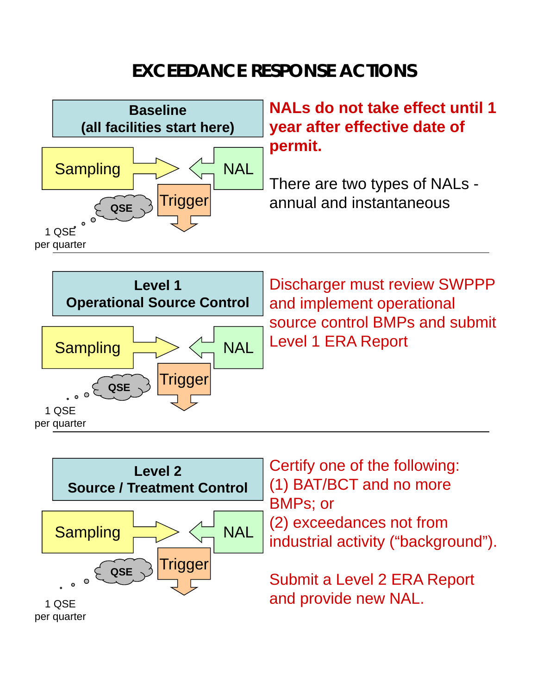## **EXCEEDANCE RESPONSE ACTIONS**





Discharger must review SWPPP and implement operational source control BMPs and submit Level 1 ERA Report



Certify one of the following: (1) BAT/BCT and no more BMPs; or

(2) exceedances not from industrial activity ("background").

Submit a Level 2 ERA Report and provide new NAL.

per quarter